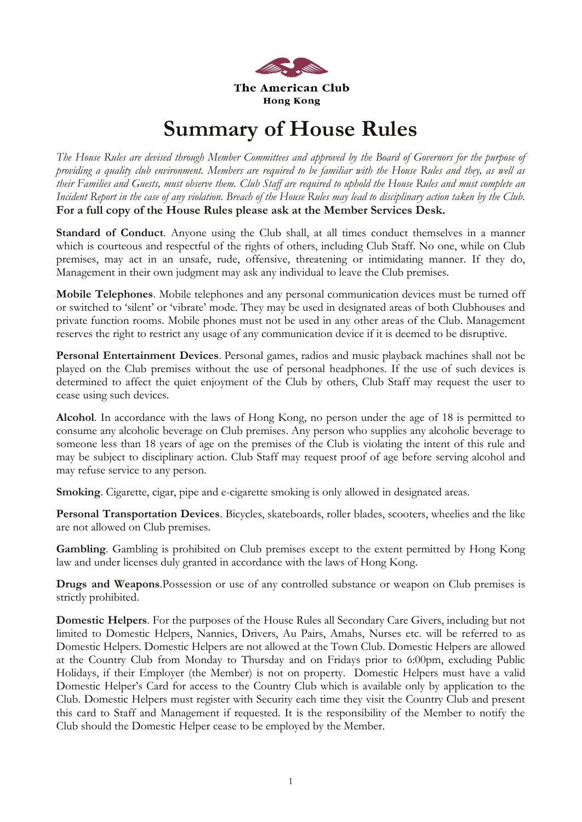

## **Summary of House Rules**

*The House Rules are devised through Member Committees and approved by the Board of Governors for the purpose of providing a quality club environment. Members are required to be familiar with the House Rules and they, as well as their Families and Guests, must observe them. Club Staff are required to uphold the House Rules and must complete an Incident Report in the case of any violation. Breach of the House Rules may lead to disciplinary action taken by the Club.*  **For a full copy of the House Rules please ask at the Member Services Desk.**

**Standard of Conduct**. Anyone using the Club shall, at all times conduct themselves in a manner which is courteous and respectful of the rights of others, including Club Staff. No one, while on Club premises, may act in an unsafe, rude, offensive, threatening or intimidating manner. If they do, Management in their own judgment may ask any individual to leave the Club premises.

**Mobile Telephones**. Mobile telephones and any personal communication devices must be turned off or switched to 'silent' or 'vibrate' mode. They may be used in designated areas of both Clubhouses and private function rooms. Mobile phones must not be used in any other areas of the Club. Management reserves the right to restrict any usage of any communication device if it is deemed to be disruptive.

**Personal Entertainment Devices**. Personal games, radios and music playback machines shall not be played on the Club premises without the use of personal headphones. If the use of such devices is determined to affect the quiet enjoyment of the Club by others, Club Staff may request the user to cease using such devices.

**Alcohol**. In accordance with the laws of Hong Kong, no person under the age of 18 is permitted to consume any alcoholic beverage on Club premises. Any person who supplies any alcoholic beverage to someone less than 18 years of age on the premises of the Club is violating the intent of this rule and may be subject to disciplinary action. Club Staff may request proof of age before serving alcohol and may refuse service to any person.

**Smoking**. Cigarette, cigar, pipe and e-cigarette smoking is only allowed in designated areas.

**Personal Transportation Devices**. Bicycles, skateboards, roller blades, scooters, wheelies and the like are not allowed on Club premises.

**Gambling**. Gambling is prohibited on Club premises except to the extent permitted by Hong Kong law and under licenses duly granted in accordance with the laws of Hong Kong.

**Drugs and Weapons**.Possession or use of any controlled substance or weapon on Club premises is strictly prohibited.

**Domestic Helpers**. For the purposes of the House Rules all Secondary Care Givers, including but not limited to Domestic Helpers, Nannies, Drivers, Au Pairs, Amahs, Nurses etc. will be referred to as Domestic Helpers. Domestic Helpers are not allowed at the Town Club. Domestic Helpers are allowed at the Country Club from Monday to Thursday and on Fridays prior to 6:00pm, excluding Public Holidays, if their Employer (the Member) is not on property. Domestic Helpers must have a valid Domestic Helper's Card for access to the Country Club which is available only by application to the Club. Domestic Helpers must register with Security each time they visit the Country Club and present this card to Staff and Management if requested. It is the responsibility of the Member to notify the Club should the Domestic Helper cease to be employed by the Member.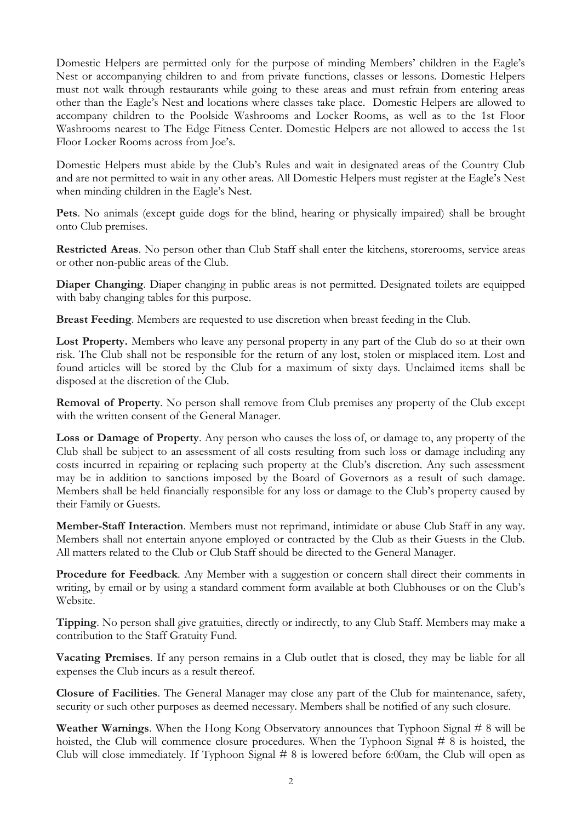Domestic Helpers are permitted only for the purpose of minding Members' children in the Eagle's Nest or accompanying children to and from private functions, classes or lessons. Domestic Helpers must not walk through restaurants while going to these areas and must refrain from entering areas other than the Eagle's Nest and locations where classes take place. Domestic Helpers are allowed to accompany children to the Poolside Washrooms and Locker Rooms, as well as to the 1st Floor Washrooms nearest to The Edge Fitness Center. Domestic Helpers are not allowed to access the 1st Floor Locker Rooms across from Joe's.

Domestic Helpers must abide by the Club's Rules and wait in designated areas of the Country Club and are not permitted to wait in any other areas. All Domestic Helpers must register at the Eagle's Nest when minding children in the Eagle's Nest.

**Pets**. No animals (except guide dogs for the blind, hearing or physically impaired) shall be brought onto Club premises.

**Restricted Areas**. No person other than Club Staff shall enter the kitchens, storerooms, service areas or other non-public areas of the Club.

**Diaper Changing**. Diaper changing in public areas is not permitted. Designated toilets are equipped with baby changing tables for this purpose.

**Breast Feeding**. Members are requested to use discretion when breast feeding in the Club.

**Lost Property.** Members who leave any personal property in any part of the Club do so at their own risk. The Club shall not be responsible for the return of any lost, stolen or misplaced item. Lost and found articles will be stored by the Club for a maximum of sixty days. Unclaimed items shall be disposed at the discretion of the Club.

**Removal of Property**. No person shall remove from Club premises any property of the Club except with the written consent of the General Manager.

**Loss or Damage of Property**. Any person who causes the loss of, or damage to, any property of the Club shall be subject to an assessment of all costs resulting from such loss or damage including any costs incurred in repairing or replacing such property at the Club's discretion. Any such assessment may be in addition to sanctions imposed by the Board of Governors as a result of such damage. Members shall be held financially responsible for any loss or damage to the Club's property caused by their Family or Guests.

**Member-Staff Interaction**. Members must not reprimand, intimidate or abuse Club Staff in any way. Members shall not entertain anyone employed or contracted by the Club as their Guests in the Club. All matters related to the Club or Club Staff should be directed to the General Manager.

**Procedure for Feedback**. Any Member with a suggestion or concern shall direct their comments in writing, by email or by using a standard comment form available at both Clubhouses or on the Club's Website.

**Tipping**. No person shall give gratuities, directly or indirectly, to any Club Staff. Members may make a contribution to the Staff Gratuity Fund.

**Vacating Premises**. If any person remains in a Club outlet that is closed, they may be liable for all expenses the Club incurs as a result thereof.

**Closure of Facilities**. The General Manager may close any part of the Club for maintenance, safety, security or such other purposes as deemed necessary. Members shall be notified of any such closure.

**Weather Warnings**. When the Hong Kong Observatory announces that Typhoon Signal # 8 will be hoisted, the Club will commence closure procedures. When the Typhoon Signal # 8 is hoisted, the Club will close immediately. If Typhoon Signal # 8 is lowered before 6:00am, the Club will open as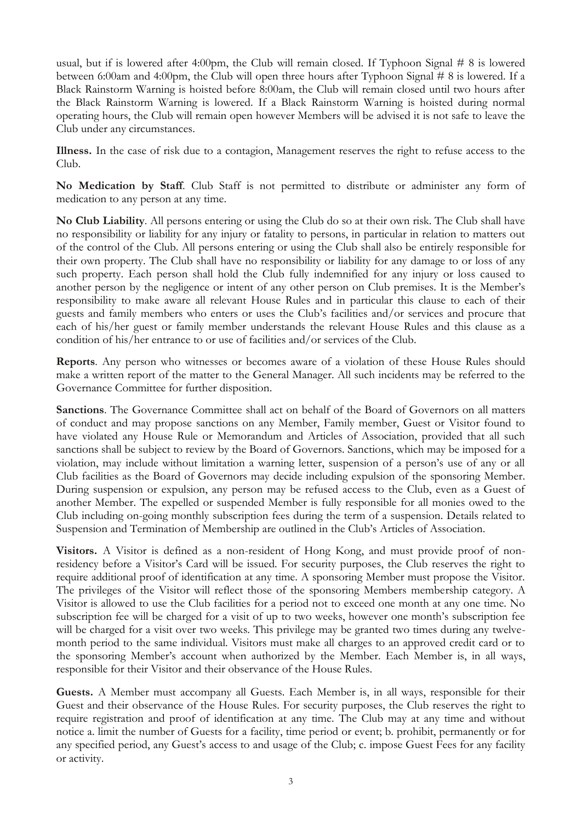usual, but if is lowered after 4:00pm, the Club will remain closed. If Typhoon Signal # 8 is lowered between 6:00am and 4:00pm, the Club will open three hours after Typhoon Signal # 8 is lowered. If a Black Rainstorm Warning is hoisted before 8:00am, the Club will remain closed until two hours after the Black Rainstorm Warning is lowered. If a Black Rainstorm Warning is hoisted during normal operating hours, the Club will remain open however Members will be advised it is not safe to leave the Club under any circumstances.

**Illness.** In the case of risk due to a contagion, Management reserves the right to refuse access to the Club.

**No Medication by Staff**. Club Staff is not permitted to distribute or administer any form of medication to any person at any time.

**No Club Liability**. All persons entering or using the Club do so at their own risk. The Club shall have no responsibility or liability for any injury or fatality to persons, in particular in relation to matters out of the control of the Club. All persons entering or using the Club shall also be entirely responsible for their own property. The Club shall have no responsibility or liability for any damage to or loss of any such property. Each person shall hold the Club fully indemnified for any injury or loss caused to another person by the negligence or intent of any other person on Club premises. It is the Member's responsibility to make aware all relevant House Rules and in particular this clause to each of their guests and family members who enters or uses the Club's facilities and/or services and procure that each of his/her guest or family member understands the relevant House Rules and this clause as a condition of his/her entrance to or use of facilities and/or services of the Club.

**Reports**. Any person who witnesses or becomes aware of a violation of these House Rules should make a written report of the matter to the General Manager. All such incidents may be referred to the Governance Committee for further disposition.

**Sanctions**. The Governance Committee shall act on behalf of the Board of Governors on all matters of conduct and may propose sanctions on any Member, Family member, Guest or Visitor found to have violated any House Rule or Memorandum and Articles of Association, provided that all such sanctions shall be subject to review by the Board of Governors. Sanctions, which may be imposed for a violation, may include without limitation a warning letter, suspension of a person's use of any or all Club facilities as the Board of Governors may decide including expulsion of the sponsoring Member. During suspension or expulsion, any person may be refused access to the Club, even as a Guest of another Member. The expelled or suspended Member is fully responsible for all monies owed to the Club including on-going monthly subscription fees during the term of a suspension. Details related to Suspension and Termination of Membership are outlined in the Club's Articles of Association.

**Visitors.** A Visitor is defined as a non-resident of Hong Kong, and must provide proof of nonresidency before a Visitor's Card will be issued. For security purposes, the Club reserves the right to require additional proof of identification at any time. A sponsoring Member must propose the Visitor. The privileges of the Visitor will reflect those of the sponsoring Members membership category. A Visitor is allowed to use the Club facilities for a period not to exceed one month at any one time. No subscription fee will be charged for a visit of up to two weeks, however one month's subscription fee will be charged for a visit over two weeks. This privilege may be granted two times during any twelvemonth period to the same individual. Visitors must make all charges to an approved credit card or to the sponsoring Member's account when authorized by the Member. Each Member is, in all ways, responsible for their Visitor and their observance of the House Rules.

**Guests.** A Member must accompany all Guests. Each Member is, in all ways, responsible for their Guest and their observance of the House Rules. For security purposes, the Club reserves the right to require registration and proof of identification at any time. The Club may at any time and without notice a. limit the number of Guests for a facility, time period or event; b. prohibit, permanently or for any specified period, any Guest's access to and usage of the Club; c. impose Guest Fees for any facility or activity.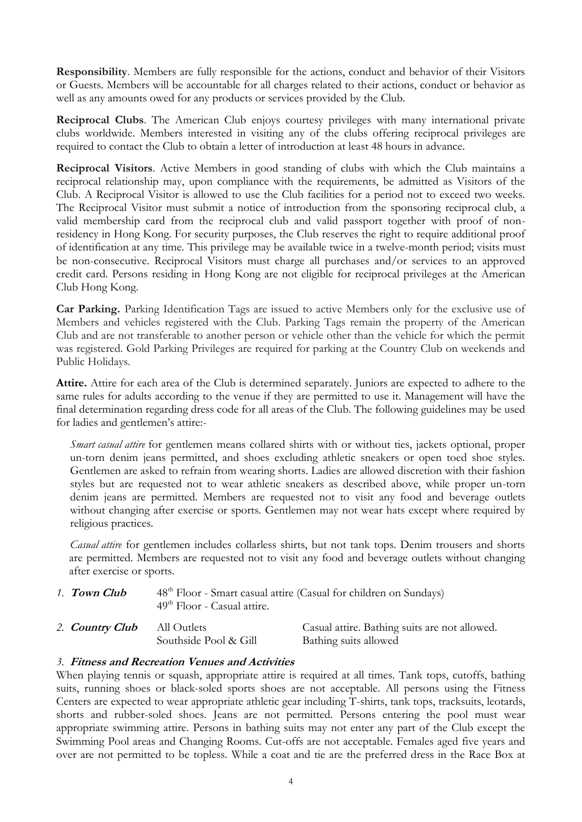**Responsibility**. Members are fully responsible for the actions, conduct and behavior of their Visitors or Guests. Members will be accountable for all charges related to their actions, conduct or behavior as well as any amounts owed for any products or services provided by the Club.

**Reciprocal Clubs**. The American Club enjoys courtesy privileges with many international private clubs worldwide. Members interested in visiting any of the clubs offering reciprocal privileges are required to contact the Club to obtain a letter of introduction at least 48 hours in advance.

**Reciprocal Visitors**. Active Members in good standing of clubs with which the Club maintains a reciprocal relationship may, upon compliance with the requirements, be admitted as Visitors of the Club. A Reciprocal Visitor is allowed to use the Club facilities for a period not to exceed two weeks. The Reciprocal Visitor must submit a notice of introduction from the sponsoring reciprocal club, a valid membership card from the reciprocal club and valid passport together with proof of nonresidency in Hong Kong. For security purposes, the Club reserves the right to require additional proof of identification at any time. This privilege may be available twice in a twelve-month period; visits must be non-consecutive. Reciprocal Visitors must charge all purchases and/or services to an approved credit card. Persons residing in Hong Kong are not eligible for reciprocal privileges at the American Club Hong Kong.

**Car Parking.** Parking Identification Tags are issued to active Members only for the exclusive use of Members and vehicles registered with the Club. Parking Tags remain the property of the American Club and are not transferable to another person or vehicle other than the vehicle for which the permit was registered. Gold Parking Privileges are required for parking at the Country Club on weekends and Public Holidays.

**Attire.** Attire for each area of the Club is determined separately. Juniors are expected to adhere to the same rules for adults according to the venue if they are permitted to use it. Management will have the final determination regarding dress code for all areas of the Club. The following guidelines may be used for ladies and gentlemen's attire:-

*Smart casual attire* for gentlemen means collared shirts with or without ties, jackets optional, proper un-torn denim jeans permitted, and shoes excluding athletic sneakers or open toed shoe styles. Gentlemen are asked to refrain from wearing shorts. Ladies are allowed discretion with their fashion styles but are requested not to wear athletic sneakers as described above, while proper un-torn denim jeans are permitted. Members are requested not to visit any food and beverage outlets without changing after exercise or sports. Gentlemen may not wear hats except where required by religious practices.

*Casual attire* for gentlemen includes collarless shirts, but not tank tops. Denim trousers and shorts are permitted. Members are requested not to visit any food and beverage outlets without changing after exercise or sports.

| 1. Town Club    | $48th$ Floor - Smart casual attire (Casual for children on Sundays)<br>$49th$ Floor - Casual attire. |                                                                        |
|-----------------|------------------------------------------------------------------------------------------------------|------------------------------------------------------------------------|
| 2. Country Club | All Outlets<br>Southside Pool & Gill                                                                 | Casual attire. Bathing suits are not allowed.<br>Bathing suits allowed |

## *3.* **Fitness and Recreation Venues and Activities**

When playing tennis or squash, appropriate attire is required at all times. Tank tops, cutoffs, bathing suits, running shoes or black-soled sports shoes are not acceptable. All persons using the Fitness Centers are expected to wear appropriate athletic gear including T-shirts, tank tops, tracksuits, leotards, shorts and rubber-soled shoes. Jeans are not permitted. Persons entering the pool must wear appropriate swimming attire. Persons in bathing suits may not enter any part of the Club except the Swimming Pool areas and Changing Rooms. Cut-offs are not acceptable. Females aged five years and over are not permitted to be topless. While a coat and tie are the preferred dress in the Race Box at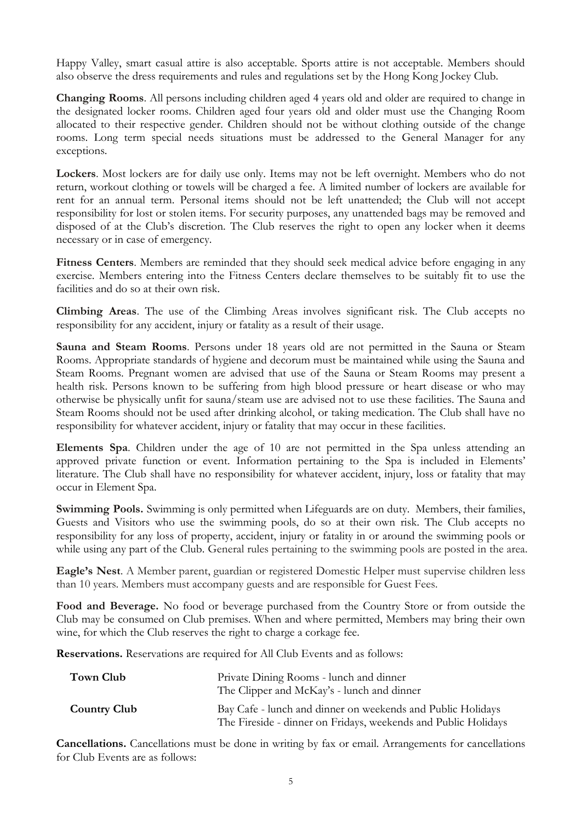Happy Valley, smart casual attire is also acceptable. Sports attire is not acceptable. Members should also observe the dress requirements and rules and regulations set by the Hong Kong Jockey Club.

**Changing Rooms**. All persons including children aged 4 years old and older are required to change in the designated locker rooms. Children aged four years old and older must use the Changing Room allocated to their respective gender. Children should not be without clothing outside of the change rooms. Long term special needs situations must be addressed to the General Manager for any exceptions.

**Lockers**. Most lockers are for daily use only. Items may not be left overnight. Members who do not return, workout clothing or towels will be charged a fee. A limited number of lockers are available for rent for an annual term. Personal items should not be left unattended; the Club will not accept responsibility for lost or stolen items. For security purposes, any unattended bags may be removed and disposed of at the Club's discretion. The Club reserves the right to open any locker when it deems necessary or in case of emergency.

**Fitness Centers**. Members are reminded that they should seek medical advice before engaging in any exercise. Members entering into the Fitness Centers declare themselves to be suitably fit to use the facilities and do so at their own risk.

**Climbing Areas**. The use of the Climbing Areas involves significant risk. The Club accepts no responsibility for any accident, injury or fatality as a result of their usage.

**Sauna and Steam Rooms**. Persons under 18 years old are not permitted in the Sauna or Steam Rooms. Appropriate standards of hygiene and decorum must be maintained while using the Sauna and Steam Rooms. Pregnant women are advised that use of the Sauna or Steam Rooms may present a health risk. Persons known to be suffering from high blood pressure or heart disease or who may otherwise be physically unfit for sauna/steam use are advised not to use these facilities. The Sauna and Steam Rooms should not be used after drinking alcohol, or taking medication. The Club shall have no responsibility for whatever accident, injury or fatality that may occur in these facilities.

**Elements Spa**. Children under the age of 10 are not permitted in the Spa unless attending an approved private function or event. Information pertaining to the Spa is included in Elements' literature. The Club shall have no responsibility for whatever accident, injury, loss or fatality that may occur in Element Spa.

**Swimming Pools.** Swimming is only permitted when Lifeguards are on duty. Members, their families, Guests and Visitors who use the swimming pools, do so at their own risk. The Club accepts no responsibility for any loss of property, accident, injury or fatality in or around the swimming pools or while using any part of the Club. General rules pertaining to the swimming pools are posted in the area.

**Eagle's Nest**. A Member parent, guardian or registered Domestic Helper must supervise children less than 10 years. Members must accompany guests and are responsible for Guest Fees.

**Food and Beverage.** No food or beverage purchased from the Country Store or from outside the Club may be consumed on Club premises. When and where permitted, Members may bring their own wine, for which the Club reserves the right to charge a corkage fee.

**Reservations.** Reservations are required for All Club Events and as follows:

| Town Club           | Private Dining Rooms - lunch and dinner<br>The Clipper and McKay's - lunch and dinner                                         |
|---------------------|-------------------------------------------------------------------------------------------------------------------------------|
| <b>Country Club</b> | Bay Cafe - lunch and dinner on weekends and Public Holidays<br>The Fireside - dinner on Fridays, weekends and Public Holidays |

**Cancellations.** Cancellations must be done in writing by fax or email. Arrangements for cancellations for Club Events are as follows: